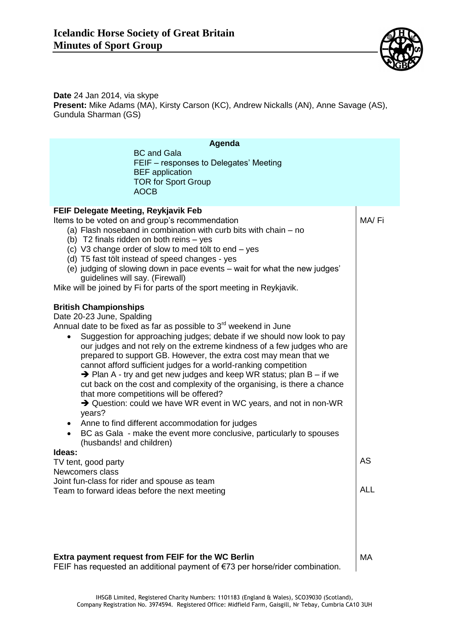

**Date** 24 Jan 2014, via skype **Present:** Mike Adams (MA), Kirsty Carson (KC), Andrew Nickalls (AN), Anne Savage (AS), Gundula Sharman (GS)

| Agenda<br><b>BC</b> and Gala<br>FEIF - responses to Delegates' Meeting<br><b>BEF</b> application<br><b>TOR for Sport Group</b><br><b>AOCB</b>                                                                                                                                                                                                                                                                                                                                                                                                                                                                                                                                                                                                                                                                                                                                                                       |            |
|---------------------------------------------------------------------------------------------------------------------------------------------------------------------------------------------------------------------------------------------------------------------------------------------------------------------------------------------------------------------------------------------------------------------------------------------------------------------------------------------------------------------------------------------------------------------------------------------------------------------------------------------------------------------------------------------------------------------------------------------------------------------------------------------------------------------------------------------------------------------------------------------------------------------|------------|
| FEIF Delegate Meeting, Reykjavik Feb<br>Items to be voted on and group's recommendation<br>(a) Flash noseband in combination with curb bits with chain - no<br>(b) T2 finals ridden on both reins - yes<br>(c) V3 change order of slow to med tölt to end – yes<br>(d) T5 fast tölt instead of speed changes - yes<br>(e) judging of slowing down in pace events – wait for what the new judges'<br>guidelines will say. (Firewall)<br>Mike will be joined by Fi for parts of the sport meeting in Reykjavik.                                                                                                                                                                                                                                                                                                                                                                                                       | MA/Fi      |
| <b>British Championships</b><br>Date 20-23 June, Spalding<br>Annual date to be fixed as far as possible to $3rd$ weekend in June<br>Suggestion for approaching judges; debate if we should now look to pay<br>our judges and not rely on the extreme kindness of a few judges who are<br>prepared to support GB. However, the extra cost may mean that we<br>cannot afford sufficient judges for a world-ranking competition<br>$\rightarrow$ Plan A - try and get new judges and keep WR status; plan B – if we<br>cut back on the cost and complexity of the organising, is there a chance<br>that more competitions will be offered?<br>$\rightarrow$ Question: could we have WR event in WC years, and not in non-WR<br>years?<br>Anne to find different accommodation for judges<br>$\bullet$<br>BC as Gala - make the event more conclusive, particularly to spouses<br>$\bullet$<br>(husbands! and children) |            |
| Ideas:<br>TV tent, good party<br>Newcomers class                                                                                                                                                                                                                                                                                                                                                                                                                                                                                                                                                                                                                                                                                                                                                                                                                                                                    | AS         |
| Joint fun-class for rider and spouse as team<br>Team to forward ideas before the next meeting                                                                                                                                                                                                                                                                                                                                                                                                                                                                                                                                                                                                                                                                                                                                                                                                                       | <b>ALL</b> |
| Extra payment request from FEIF for the WC Berlin<br>FEIF has requested an additional payment of $\epsilon$ 73 per horse/rider combination.                                                                                                                                                                                                                                                                                                                                                                                                                                                                                                                                                                                                                                                                                                                                                                         | MA         |

FEIF has requested an additional payment of €73 per horse/rider combination.